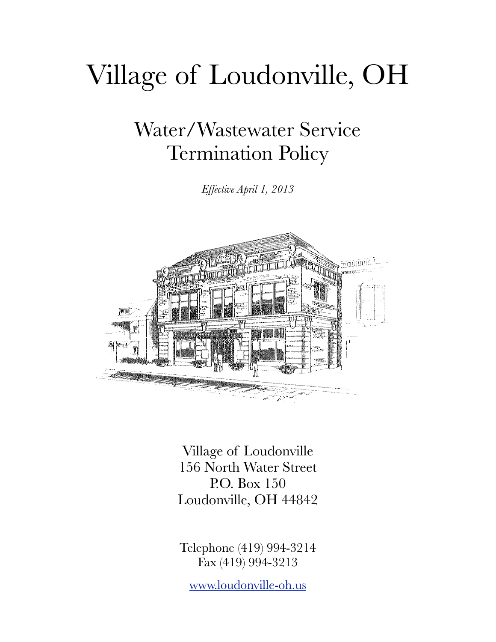# Village of Loudonville, OH

# Water/Wastewater Service Termination Policy

*Effective April 1, 2013*



Village of Loudonville 156 North Water Street P.O. Box 150 Loudonville, OH 44842

Telephone (419) 994-3214 Fax (419) 994-3213

[www.loudonville-oh.us](http://www.loudonville-oh.us)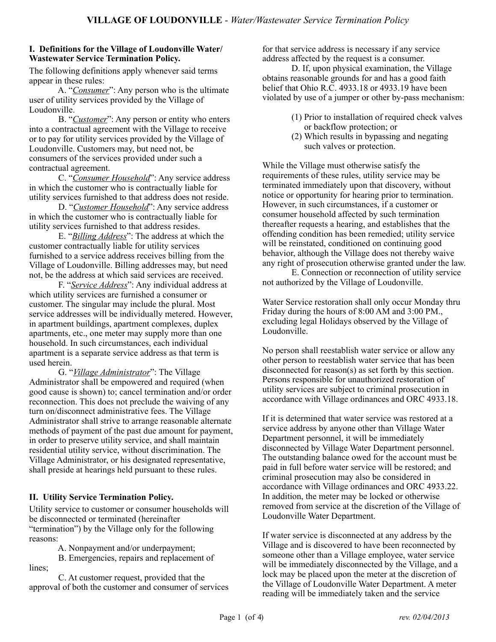## **I. Definitions for the Village of Loudonville Water/ Wastewater Service Termination Policy.**

The following definitions apply whenever said terms appear in these rules:

 A. "*Consumer*": Any person who is the ultimate user of utility services provided by the Village of Loudonville.

 B. "*Customer*": Any person or entity who enters into a contractual agreement with the Village to receive or to pay for utility services provided by the Village of Loudonville. Customers may, but need not, be consumers of the services provided under such a contractual agreement.

 C. "*Consumer Household*": Any service address in which the customer who is contractually liable for utility services furnished to that address does not reside.

 D. "*Customer Household*": Any service address in which the customer who is contractually liable for utility services furnished to that address resides.

 E. "*Billing Address*": The address at which the customer contractually liable for utility services furnished to a service address receives billing from the Village of Loudonville. Billing addresses may, but need not, be the address at which said services are received.

 F. "*Service Address*": Any individual address at which utility services are furnished a consumer or customer. The singular may include the plural. Most service addresses will be individually metered. However, in apartment buildings, apartment complexes, duplex apartments, etc., one meter may supply more than one household. In such circumstances, each individual apartment is a separate service address as that term is used herein.

 G. "*Village Administrator*": The Village Administrator shall be empowered and required (when good cause is shown) to; cancel termination and/or order reconnection. This does not preclude the waiving of any turn on/disconnect administrative fees. The Village Administrator shall strive to arrange reasonable alternate methods of payment of the past due amount for payment, in order to preserve utility service, and shall maintain residential utility service, without discrimination. The Village Administrator, or his designated representative, shall preside at hearings held pursuant to these rules.

# **II. Utility Service Termination Policy.**

Utility service to customer or consumer households will be disconnected or terminated (hereinafter "termination") by the Village only for the following reasons:

A. Nonpayment and/or underpayment;

 B. Emergencies, repairs and replacement of lines;

 C. At customer request, provided that the approval of both the customer and consumer of services for that service address is necessary if any service address affected by the request is a consumer.

D. If, upon physical examination, the Village obtains reasonable grounds for and has a good faith belief that Ohio R.C. 4933.18 or 4933.19 have been violated by use of a jumper or other by-pass mechanism:

- (1) Prior to installation of required check valves or backflow protection; or
- (2) Which results in bypassing and negating such valves or protection.

While the Village must otherwise satisfy the requirements of these rules, utility service may be terminated immediately upon that discovery, without notice or opportunity for hearing prior to termination. However, in such circumstances, if a customer or consumer household affected by such termination thereafter requests a hearing, and establishes that the offending condition has been remedied; utility service will be reinstated, conditioned on continuing good behavior, although the Village does not thereby waive any right of prosecution otherwise granted under the law.

 E. Connection or reconnection of utility service not authorized by the Village of Loudonville.

Water Service restoration shall only occur Monday thru Friday during the hours of 8:00 AM and 3:00 PM., excluding legal Holidays observed by the Village of Loudonville.

No person shall reestablish water service or allow any other person to reestablish water service that has been disconnected for reason(s) as set forth by this section. Persons responsible for unauthorized restoration of utility services are subject to criminal prosecution in accordance with Village ordinances and ORC 4933.18.

If it is determined that water service was restored at a service address by anyone other than Village Water Department personnel, it will be immediately disconnected by Village Water Department personnel. The outstanding balance owed for the account must be paid in full before water service will be restored; and criminal prosecution may also be considered in accordance with Village ordinances and ORC 4933.22. In addition, the meter may be locked or otherwise removed from service at the discretion of the Village of Loudonville Water Department.

If water service is disconnected at any address by the Village and is discovered to have been reconnected by someone other than a Village employee, water service will be immediately disconnected by the Village, and a lock may be placed upon the meter at the discretion of the Village of Loudonville Water Department. A meter reading will be immediately taken and the service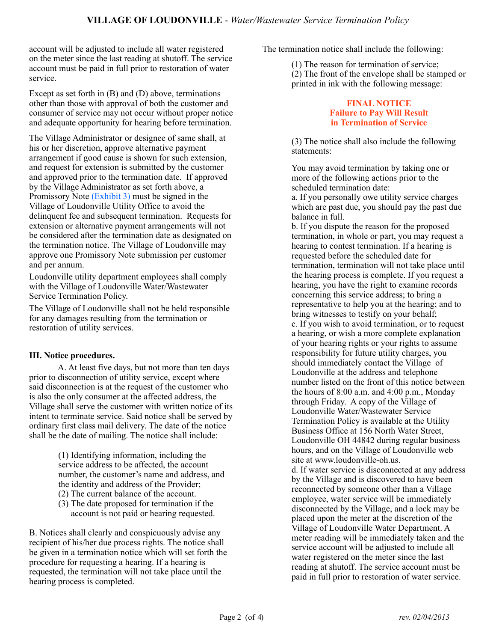account will be adjusted to include all water registered on the meter since the last reading at shutoff. The service account must be paid in full prior to restoration of water service.

Except as set forth in (B) and (D) above, terminations other than those with approval of both the customer and consumer of service may not occur without proper notice and adequate opportunity for hearing before termination.

The Village Administrator or designee of same shall, at his or her discretion, approve alternative payment arrangement if good cause is shown for such extension, and request for extension is submitted by the customer and approved prior to the termination date. If approved by the Village Administrator as set forth above, a Promissory Note (Exhibit 3) must be signed in the Village of Loudonville Utility Office to avoid the delinquent fee and subsequent termination. Requests for extension or alternative payment arrangements will not be considered after the termination date as designated on the termination notice. The Village of Loudonville may approve one Promissory Note submission per customer and per annum.

Loudonville utility department employees shall comply with the Village of Loudonville Water/Wastewater Service Termination Policy.

The Village of Loudonville shall not be held responsible for any damages resulting from the termination or restoration of utility services.

# **III. Notice procedures.**

 A. At least five days, but not more than ten days prior to disconnection of utility service, except where said disconnection is at the request of the customer who is also the only consumer at the affected address, the Village shall serve the customer with written notice of its intent to terminate service. Said notice shall be served by ordinary first class mail delivery. The date of the notice shall be the date of mailing. The notice shall include:

> (1) Identifying information, including the service address to be affected, the account number, the customer's name and address, and the identity and address of the Provider;

- (2) The current balance of the account.
- (3) The date proposed for termination if the account is not paid or hearing requested.

B. Notices shall clearly and conspicuously advise any recipient of his/her due process rights. The notice shall be given in a termination notice which will set forth the procedure for requesting a hearing. If a hearing is requested, the termination will not take place until the hearing process is completed.

The termination notice shall include the following:

(1) The reason for termination of service; (2) The front of the envelope shall be stamped or printed in ink with the following message:

#### **FINAL NOTICE Failure to Pay Will Result in Termination of Service**

(3) The notice shall also include the following statements:

You may avoid termination by taking one or more of the following actions prior to the scheduled termination date:

a. If you personally owe utility service charges which are past due, you should pay the past due balance in full.

b. If you dispute the reason for the proposed termination, in whole or part, you may request a hearing to contest termination. If a hearing is requested before the scheduled date for termination, termination will not take place until the hearing process is complete. If you request a hearing, you have the right to examine records concerning this service address; to bring a representative to help you at the hearing; and to bring witnesses to testify on your behalf; c. If you wish to avoid termination, or to request a hearing, or wish a more complete explanation of your hearing rights or your rights to assume responsibility for future utility charges, you should immediately contact the Village of Loudonville at the address and telephone number listed on the front of this notice between the hours of 8:00 a.m. and 4:00 p.m., Monday through Friday. A copy of the Village of Loudonville Water/Wastewater Service Termination Policy is available at the Utility Business Office at 156 North Water Street, Loudonville OH 44842 during regular business hours, and on the Village of Loudonville web site at [www.loudonville-oh.us.](http://www.loudonville-oh.us)

d. If water service is disconnected at any address by the Village and is discovered to have been reconnected by someone other than a Village employee, water service will be immediately disconnected by the Village, and a lock may be placed upon the meter at the discretion of the Village of Loudonville Water Department. A meter reading will be immediately taken and the service account will be adjusted to include all water registered on the meter since the last reading at shutoff. The service account must be paid in full prior to restoration of water service.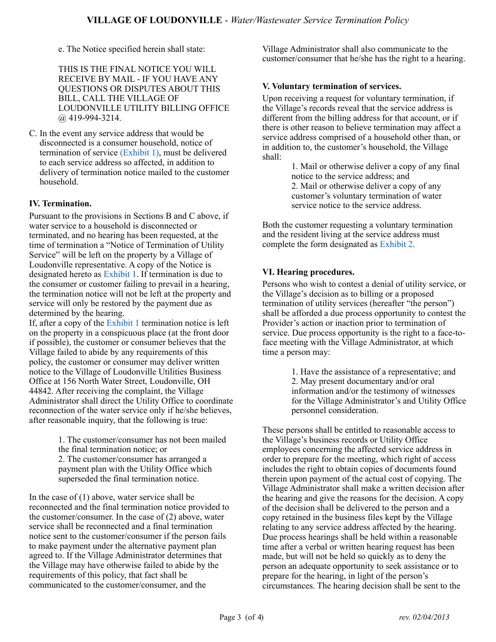e. The Notice specified herein shall state:

THIS IS THE FINAL NOTICE YOU WILL RECEIVE BY MAIL - IF YOU HAVE ANY QUESTIONS OR DISPUTES ABOUT THIS BILL, CALL THE VILLAGE OF LOUDONVILLE UTILITY BILLING OFFICE @ 419-994-3214.

C. In the event any service address that would be disconnected is a consumer household, notice of termination of service (Exhibit 1), must be delivered to each service address so affected, in addition to delivery of termination notice mailed to the customer household.

# **IV. Termination.**

Pursuant to the provisions in Sections B and C above, if water service to a household is disconnected or terminated, and no hearing has been requested, at the time of termination a "Notice of Termination of Utility Service" will be left on the property by a Village of Loudonville representative. A copy of the Notice is designated hereto as Exhibit 1. If termination is due to the consumer or customer failing to prevail in a hearing, the termination notice will not be left at the property and service will only be restored by the payment due as determined by the hearing.

If, after a copy of the Exhibit 1 termination notice is left on the property in a conspicuous place (at the front door if possible), the customer or consumer believes that the Village failed to abide by any requirements of this policy, the customer or consumer may deliver written notice to the Village of Loudonville Utilities Business Office at 156 North Water Street, Loudonville, OH 44842. After receiving the complaint, the Village Administrator shall direct the Utility Office to coordinate reconnection of the water service only if he/she believes, after reasonable inquiry, that the following is true:

> 1. The customer/consumer has not been mailed the final termination notice; or 2. The customer/consumer has arranged a payment plan with the Utility Office which superseded the final termination notice.

In the case of  $(1)$  above, water service shall be reconnected and the final termination notice provided to the customer/consumer. In the case of (2) above, water service shall be reconnected and a final termination notice sent to the customer/consumer if the person fails to make payment under the alternative payment plan agreed to. If the Village Administrator determines that the Village may have otherwise failed to abide by the requirements of this policy, that fact shall be communicated to the customer/consumer, and the

Village Administrator shall also communicate to the customer/consumer that he/she has the right to a hearing.

# **V. Voluntary termination of services.**

Upon receiving a request for voluntary termination, if the Village's records reveal that the service address is different from the billing address for that account, or if there is other reason to believe termination may affect a service address comprised of a household other than, or in addition to, the customer's household, the Village shall:

> 1. Mail or otherwise deliver a copy of any final notice to the service address; and 2. Mail or otherwise deliver a copy of any customer's voluntary termination of water service notice to the service address.

Both the customer requesting a voluntary termination and the resident living at the service address must complete the form designated as Exhibit 2.

# **VI. Hearing procedures.**

Persons who wish to contest a denial of utility service, or the Village's decision as to billing or a proposed termination of utility services (hereafter "the person") shall be afforded a due process opportunity to contest the Provider's action or inaction prior to termination of service. Due process opportunity is the right to a face-toface meeting with the Village Administrator, at which time a person may:

> 1. Have the assistance of a representative; and 2. May present documentary and/or oral information and/or the testimony of witnesses for the Village Administrator's and Utility Office personnel consideration.

These persons shall be entitled to reasonable access to the Village's business records or Utility Office employees concerning the affected service address in order to prepare for the meeting, which right of access includes the right to obtain copies of documents found therein upon payment of the actual cost of copying. The Village Administrator shall make a written decision after the hearing and give the reasons for the decision. A copy of the decision shall be delivered to the person and a copy retained in the business files kept by the Village relating to any service address affected by the hearing. Due process hearings shall be held within a reasonable time after a verbal or written hearing request has been made, but will not be held so quickly as to deny the person an adequate opportunity to seek assistance or to prepare for the hearing, in light of the person's circumstances. The hearing decision shall be sent to the